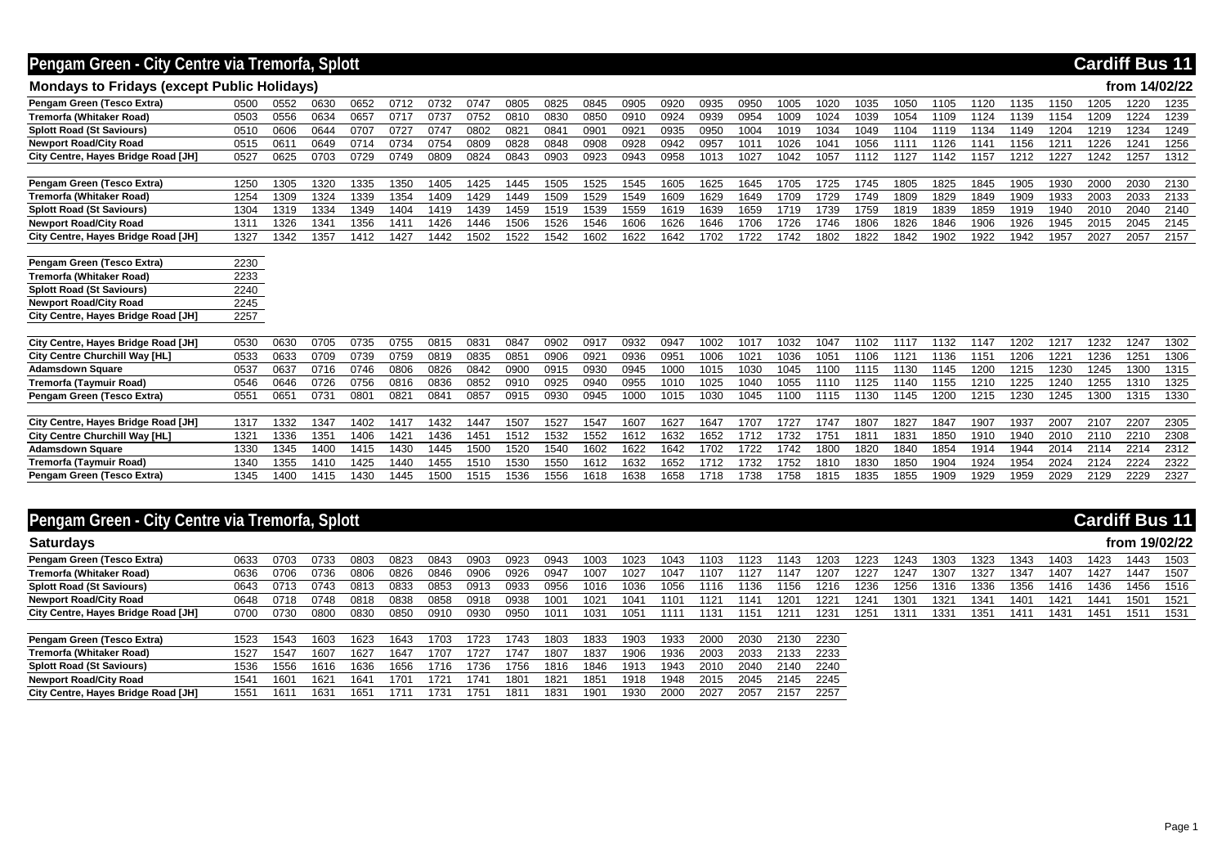## **Pengam Green - City Centre via Tremorfa, Splott Cardiff Bus 11**

#### **Mondays to Fridays (except Public Holidays) from 14/02/22**

| Pengam Green (Tesco Extra             | 0500 | 0552 | 0630 | 0652          | 0712 | 0732 | 0747 | 0805 | 0825 | 0845    | 0905 | 0920 | 0935 | 0950             | 1005 | 1020             | 1035 | 1050 | 1105 | 1120 | 1135 | 1150 | 1205 | 1220 | 1235 |
|---------------------------------------|------|------|------|---------------|------|------|------|------|------|---------|------|------|------|------------------|------|------------------|------|------|------|------|------|------|------|------|------|
| Tremorfa (Whitaker Road)              | 0503 | 0556 | 0634 | 0657          | 0717 | 0737 | 0752 | 0810 | 0830 | 0850    | 0910 | 0924 | 0939 | 0954             | 1009 | 1024             | 1039 | 1054 | 1109 | 1124 | 1139 | 1154 | 1209 | 1224 | 1239 |
| <b>Splott Road (St Saviours)</b>      | 0510 | 0606 | 0644 | 0707          | 0727 | 0747 | 0802 | 0821 | 084' | 090     | 0921 | 0935 | 0950 | 1004             | 1019 | 1034             | 1049 | 1104 | 1119 | 1134 | 1149 | 1204 | 1219 | 1234 | 1249 |
| <b>Newport Road/City Road</b>         | 0515 | 061  | 0649 | 0714          | 0734 | 0754 | 0809 | 0828 | 0848 | 0908    | 0928 | 0942 | 0957 | 101              | 1026 | 104 <sup>°</sup> | 1056 | 111  | 1126 | 1141 | 1156 | 121  | 1226 | 1241 | 1256 |
| City Centre, Hayes Bridge Road [JH]   | 0527 | 0625 | 0703 | 0729          | 0749 | 0809 | 0824 | 0843 | 0903 | 0923    | 0943 | 0958 | 1013 | 1027             | 1042 | 1057             | 1112 | 1127 | 1142 | 1157 | 1212 | 1227 | 1242 | 1257 | 1312 |
|                                       |      |      |      |               |      |      |      |      |      |         |      |      |      |                  |      |                  |      |      |      |      |      |      |      |      |      |
| Pengam Green (Tesco Extra)            | 1250 | 1305 | 1320 | 1335          | 1350 | 1405 | 1425 | 1445 | 1505 | 1525    | 1545 | 1605 | 1625 | 1645             | 1705 | 1725             | 1745 | 1805 | 1825 | 1845 | 1905 | 1930 | 2000 | 2030 | 2130 |
| Tremorfa (Whitaker Road)              | 1254 | 1309 | 1324 | 1339          | 1354 | 1409 | 1429 | 1449 | 1509 | 1529    | 1549 | 1609 | 1629 | 1649             | 1709 | 1729             | 1749 | 1809 | 1829 | 1849 | 1909 | 1933 | 2003 | 2033 | 2133 |
| <b>Splott Road (St Saviours)</b>      | 1304 | 1319 | 1334 | 1349          | 1404 | 1419 | 1439 | 1459 | 1519 | 1539    | 1559 | 1619 | 1639 | 1659             | 1719 | 1739             | 1759 | 1819 | 1839 | 1859 | 1919 | 1940 | 2010 | 2040 | 2140 |
| <b>Newport Road/City Road</b>         | 1311 | 1326 | 1341 | 1356          | 1411 | 1426 | 1446 | 1506 | 1526 | 1546    | 1606 | 1626 | 1646 | 1706             | 1726 | 1746             | 1806 | 1826 | 1846 | 1906 | 1926 | 1945 | 2015 | 2045 | 2145 |
| City Centre, Hayes Bridge Road [JH]   | 1327 | 1342 | 1357 | 1412          | 1427 | 1442 | 1502 | 1522 | 1542 | 1602    | 622  | 1642 | 1702 | 1722             | 1742 | 1802             | 1822 | 1842 | 1902 | 1922 | 1942 | 1957 | 2027 | 2057 | 2157 |
|                                       |      |      |      |               |      |      |      |      |      |         |      |      |      |                  |      |                  |      |      |      |      |      |      |      |      |      |
| Pengam Green (Tesco Extra)            | 2230 |      |      |               |      |      |      |      |      |         |      |      |      |                  |      |                  |      |      |      |      |      |      |      |      |      |
| Tremorfa (Whitaker Road)              | 2233 |      |      |               |      |      |      |      |      |         |      |      |      |                  |      |                  |      |      |      |      |      |      |      |      |      |
| <b>Splott Road (St Saviours)</b>      | 2240 |      |      |               |      |      |      |      |      |         |      |      |      |                  |      |                  |      |      |      |      |      |      |      |      |      |
| <b>Newport Road/City Road</b>         | 2245 |      |      |               |      |      |      |      |      |         |      |      |      |                  |      |                  |      |      |      |      |      |      |      |      |      |
| City Centre, Hayes Bridge Road [JH]   | 2257 |      |      |               |      |      |      |      |      |         |      |      |      |                  |      |                  |      |      |      |      |      |      |      |      |      |
|                                       |      |      |      |               |      |      |      |      |      |         |      |      |      |                  |      |                  |      |      |      |      |      |      |      |      |      |
| City Centre, Hayes Bridge Road [JH]   | 0530 | 0630 | 0705 | 0735          | 0755 | 0815 | 0831 | 0847 | 0902 | 0917    | 0932 | 0947 | 1002 | 1017             | 1032 | 1047             | 1102 | 1117 | 1132 | 1147 | 1202 | 1217 | 1232 | 1247 | 1302 |
| City Centre Churchill Way [HL]        | 0533 | 0633 | 0709 | 0739          | 0759 | 0819 | 0835 | 085  | 0906 | $092 -$ | 0936 | 095  | 1006 | 102 <sup>1</sup> | 1036 | 105 <sup>2</sup> | 1106 | 112' | 1136 | 1151 | 1206 | 1221 | 1236 | 1251 | 1306 |
| <b>Adamsdown Square</b>               | 0537 | 0637 | 0716 | 0746          | 0806 | 0826 | 0842 | 0900 | 0915 | 0930    | 0945 | 1000 | 1015 | 1030             | 1045 | 1100             | 1115 | 1130 | 1145 | 1200 | 1215 | 1230 | 1245 | 1300 | 1315 |
| Tremorfa (Taymuir Road)               | 0546 | 0646 | 0726 | 0756          | 0816 | 0836 | 0852 | 0910 | 0925 | 0940    | 0955 | 1010 | 1025 | 1040             | 1055 | 1110             | 1125 | 140  | 1155 | 1210 | 1225 | 1240 | 1255 | 1310 | 1325 |
| Pengam Green (Tesco Extra)            | 0551 | 0651 | 0731 | $080^{\circ}$ | 0821 | 084' | 0857 | 0915 | 0930 | 0945    | 1000 | 1015 | 1030 | 1045             | 1100 | 1115             | 1130 | 1145 | 1200 | 1215 | 1230 | 1245 | 1300 | 1315 | 1330 |
|                                       |      |      |      |               |      |      |      |      |      |         |      |      |      |                  |      |                  |      |      |      |      |      |      |      |      |      |
| City Centre, Hayes Bridge Road [JH]   | 1317 | 1332 | 1347 | 1402          | 1417 | 1432 | 1447 | 1507 | 1527 | 1547    | 1607 | 1627 | 1647 | 1707             | 1727 | 1747             | 1807 | 1827 | 1847 | 1907 | 1937 | 2007 | 2107 | 2207 | 2305 |
| <b>City Centre Churchill Way [HL]</b> | 1321 | 1336 | 135' | 1406          | 1421 | 1436 | 1451 | 1512 | 1532 | 1552    | 1612 | 1632 | 1652 | 1712             | 1732 | 175              | 181  | 183' | 1850 | 1910 | 1940 | 2010 | 2110 | 2210 | 2308 |
| <b>Adamsdown Square</b>               | 1330 | 1345 | 1400 | 1415          | 1430 | 1445 | 1500 | 1520 | 1540 | 1602    | 1622 | 1642 | 1702 | 1722             | 1742 | 1800             | 1820 | 1840 | 1854 | 1914 | 1944 | 2014 | 2114 | 2214 | 2312 |
| Tremorfa (Taymuir Road)               | 1340 | 1355 | 1410 | 1425          | 1440 | 1455 | 1510 | 1530 | 1550 | 1612    | 1632 | 1652 | 1712 | 1732             | 1752 | 1810             | 1830 | 1850 | 1904 | 1924 | 1954 | 2024 | 2124 | 2224 | 2322 |
| Pengam Green (Tesco Extra)            | 1345 | 1400 | 1415 | 1430          | 1445 | 1500 | 1515 | 1536 | 1556 | 1618    | 638  | 1658 | 1718 | 1738             | 1758 | 1815             | 1835 | 1855 | 1909 | 1929 | 1959 | 2029 | 2129 | 2229 | 2327 |

## **Pengam Green - City Centre via Tremorfa, Splott Cardiff Bus 11**

| <b>Saturdays</b>                    |      |       |      |      |      |      |      |      |      |                  |      |      |      |      |      |      |      |      |                  |                 |                  |      |      | from 19/02/22 |      |
|-------------------------------------|------|-------|------|------|------|------|------|------|------|------------------|------|------|------|------|------|------|------|------|------------------|-----------------|------------------|------|------|---------------|------|
| Pengam Green (Tesco Extra)          | 0633 | 0703  | 0733 | 0803 | 0823 | 084  | 0903 | 0923 | 0943 | 1003             | 1023 | 1043 | 1103 | 1123 | 1143 | 1203 | 1223 | 1243 | 1303             | 1323            | 1343             | 1403 | 1423 | 1443          | 1503 |
| <b>Tremorfa (Whitaker Road)</b>     | 0636 | .0706 | 0736 | 0806 | 0826 | 084  | 0906 | 0926 | 0947 | 1007             | 1027 | 1047 | 1107 | 1127 | 1147 | 1207 | 1227 | 1247 | 1307             | 1327            | 1347             | 1407 | 1427 | 1447          | 1507 |
| <b>Splott Road (St Saviours)</b>    | 0643 |       | 0743 | 0813 | 0833 | 0853 | 0913 | 0933 | 2956 | 1016             | 1036 | 1056 | 116  | 1136 | 1156 | 1216 | 1236 | 1256 | 1316             | 1336            | <sup>1</sup> 356 | 1416 | 1436 | 1456          | 1516 |
| <b>Newport Road/City Road</b>       | 0648 | 0718  | 0748 | 0818 | 0838 | 0858 | 0918 | 0938 | 1001 | 102 <sup>1</sup> | 1041 | 1101 | 1121 | 114' | 1201 | 1221 | 124  | 1301 | 132'             | 34 <sup>1</sup> | 1401             | 1421 | 1441 | 1501          | 1521 |
| City Centre, Hayes Bridge Road [JH] | 0700 | 0730  | 0800 | 0830 | 0850 | 091  | 0930 | 0950 | 1011 | 103 <sup>2</sup> | 1051 | 111  | 131  | 1151 | 121' | 1231 | 125. | 131. | 133 <sub>0</sub> | 25              | 141'             | 1431 | 1451 | 1511          | 1531 |
|                                     |      |       |      |      |      |      |      |      |      |                  |      |      |      |      |      |      |      |      |                  |                 |                  |      |      |               |      |

| Pengam Green (Tesco Extra)          | 523  | 543  | 1603 | 1623 | 1643 | 703  | 723 | 1743 | 1803 | 1833 | 903  | 1933 | 2000 | 2030 | 2130 | 2230 |
|-------------------------------------|------|------|------|------|------|------|-----|------|------|------|------|------|------|------|------|------|
| Tremorfa (Whitaker Road)            | 1527 | 1547 | 1607 | 1627 | 1647 | 1707 | 727 | 174. | 1807 | 1837 | 906  | 1936 | 2003 | 2033 | 2133 | 2233 |
| <b>Splott Road (St Saviours)</b>    | .536 | 1556 | 1616 | 1636 | 1656 | 1716 | 736 | 1756 | 1816 | 1846 | 1913 | 1943 | 2010 | 2040 | 2140 | 2240 |
| <b>Newport Road/City Road</b>       | 541  | 1601 | 162  | 164  | 70′  | 172  | 174 | 1801 | 182' | 1851 | 1918 | 1948 | 2015 | 2045 | 2145 | 2245 |
| City Centre, Hayes Bridge Road [JH] | 1551 | 161  | 163  | 165  | 1715 | 1731 | 75  | 181  | 1831 | 1901 | 1930 | 2000 | 2027 | 2057 |      | 2257 |

Page 1